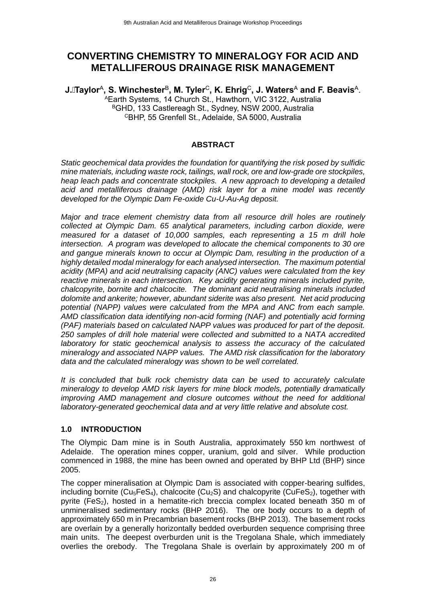# **CONVERTING CHEMISTRY TO MINERALOGY FOR ACID AND METALLIFEROUS DRAINAGE RISK MANAGEMENT**

**J.Taylor**<sup>A</sup> **, S. Winchester**<sup>B</sup> **, M. Tyler**<sup>C</sup>**, K. Ehrig**<sup>C</sup>**, J. Waters**<sup>A</sup> **and F. Beavis**<sup>A</sup> .

<sup>A</sup>Earth Systems, 14 Church St., Hawthorn, VIC 3122, Australia BGHD, 133 Castlereagh St., Sydney, NSW 2000, Australia <sup>C</sup>BHP, 55 Grenfell St., Adelaide, SA 5000, Australia

#### **ABSTRACT**

*Static geochemical data provides the foundation for quantifying the risk posed by sulfidic mine materials, including waste rock, tailings, wall rock, ore and low-grade ore stockpiles, heap leach pads and concentrate stockpiles. A new approach to developing a detailed acid and metalliferous drainage (AMD) risk layer for a mine model was recently developed for the Olympic Dam Fe-oxide Cu-U-Au-Ag deposit.* 

*Major and trace element chemistry data from all resource drill holes are routinely collected at Olympic Dam. 65 analytical parameters, including carbon dioxide, were measured for a dataset of 10,000 samples, each representing a 15 m drill hole intersection. A program was developed to allocate the chemical components to 30 ore and gangue minerals known to occur at Olympic Dam, resulting in the production of a highly detailed modal mineralogy for each analysed intersection. The maximum potential acidity (MPA) and acid neutralising capacity (ANC) values were calculated from the key reactive minerals in each intersection. Key acidity generating minerals included pyrite, chalcopyrite, bornite and chalcocite. The dominant acid neutralising minerals included dolomite and ankerite; however, abundant siderite was also present. Net acid producing potential (NAPP) values were calculated from the MPA and ANC from each sample. AMD classification data identifying non-acid forming (NAF) and potentially acid forming (PAF) materials based on calculated NAPP values was produced for part of the deposit. 250 samples of drill hole material were collected and submitted to a NATA accredited laboratory for static geochemical analysis to assess the accuracy of the calculated mineralogy and associated NAPP values. The AMD risk classification for the laboratory data and the calculated mineralogy was shown to be well correlated.*

*It is concluded that bulk rock chemistry data can be used to accurately calculate mineralogy to develop AMD risk layers for mine block models, potentially dramatically improving AMD management and closure outcomes without the need for additional laboratory-generated geochemical data and at very little relative and absolute cost.*

### **1.0 INTRODUCTION**

The Olympic Dam mine is in South Australia, approximately 550 km northwest of Adelaide. The operation mines copper, uranium, gold and silver. While production commenced in 1988, the mine has been owned and operated by BHP Ltd (BHP) since 2005.

The copper mineralisation at Olympic Dam is associated with copper-bearing sulfides, including bornite (Cu<sub>5</sub>FeS<sub>4</sub>), chalcocite (Cu<sub>2</sub>S) and chalcopyrite (CuFeS<sub>2</sub>), together with pyrite (FeS<sub>2</sub>), hosted in a hematite-rich breccia complex located beneath 350 m of unmineralised sedimentary rocks (BHP 2016). The ore body occurs to a depth of approximately 650 m in Precambrian basement rocks (BHP 2013). The basement rocks are overlain by a generally horizontally bedded overburden sequence comprising three main units. The deepest overburden unit is the Tregolana Shale, which immediately overlies the orebody. The Tregolana Shale is overlain by approximately 200 m of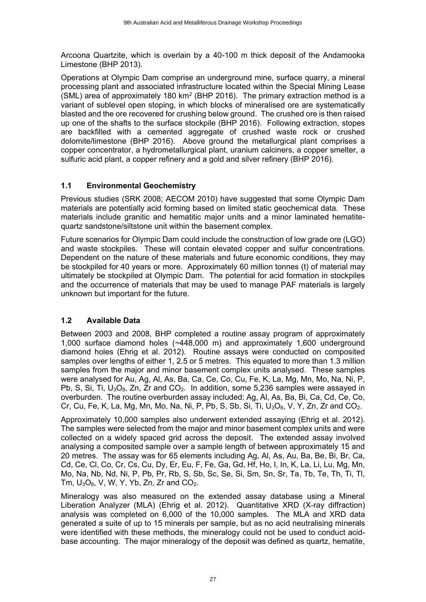Arcoona Quartzite, which is overlain by a 40-100 m thick deposit of the Andamooka Limestone (BHP 2013).

Operations at Olympic Dam comprise an underground mine, surface quarry, a mineral processing plant and associated infrastructure located within the Special Mining Lease (SML) area of approximately 180 km<sup>2</sup> (BHP 2016). The primary extraction method is a variant of sublevel open stoping, in which blocks of mineralised ore are systematically blasted and the ore recovered for crushing below ground. The crushed ore is then raised up one of the shafts to the surface stockpile (BHP 2016). Following extraction, stopes are backfilled with a cemented aggregate of crushed waste rock or crushed dolomite/limestone (BHP 2016). Above ground the metallurgical plant comprises a copper concentrator, a hydrometallurgical plant, uranium calciners, a copper smelter, a sulfuric acid plant, a copper refinery and a gold and silver refinery (BHP 2016).

### **1.1 Environmental Geochemistry**

Previous studies (SRK 2008; AECOM 2010) have suggested that some Olympic Dam materials are potentially acid forming based on limited static geochemical data. These materials include granitic and hematitic major units and a minor laminated hematitequartz sandstone/siltstone unit within the basement complex.

Future scenarios for Olympic Dam could include the construction of low grade ore (LGO) and waste stockpiles. These will contain elevated copper and sulfur concentrations. Dependent on the nature of these materials and future economic conditions, they may be stockpiled for 40 years or more. Approximately 60 million tonnes (t) of material may ultimately be stockpiled at Olympic Dam. The potential for acid formation in stockpiles and the occurrence of materials that may be used to manage PAF materials is largely unknown but important for the future.

### **1.2 Available Data**

Between 2003 and 2008, BHP completed a routine assay program of approximately 1,000 surface diamond holes (~448,000 m) and approximately 1,600 underground diamond holes (Ehrig et al. 2012). Routine assays were conducted on composited samples over lengths of either 1, 2.5 or 5 metres. This equated to more than 1.3 million samples from the major and minor basement complex units analysed. These samples were analysed for Au, Ag, Al, As, Ba, Ca, Ce, Co, Cu, Fe, K, La, Mg, Mn, Mo, Na, Ni, P, Pb, S, Si, Ti,  $U_3O_8$ , Zn, Zr and  $CO_2$ . In addition, some 5,236 samples were assayed in overburden. The routine overburden assay included: Ag, Al, As, Ba, Bi, Ca, Cd, Ce, Co, Cr, Cu, Fe, K, La, Mg, Mn, Mo, Na, Ni, P, Pb, S, Sb, Si, Ti,  $U_3O_8$ , V, Y, Zn, Zr and CO<sub>2</sub>.

Approximately 10,000 samples also underwent extended assaying (Ehrig et al. 2012). The samples were selected from the major and minor basement complex units and were collected on a widely spaced grid across the deposit. The extended assay involved analysing a composited sample over a sample length of between approximately 15 and 20 metres. The assay was for 65 elements including Ag, Al, As, Au, Ba, Be, Bi, Br, Ca, Cd, Ce, Cl, Co, Cr, Cs, Cu, Dy, Er, Eu, F, Fe, Ga, Gd, Hf, Ho, I, In, K, La, Li, Lu, Mg, Mn, Mo, Na, Nb, Nd, Ni, P, Pb, Pr, Rb, S, Sb, Sc, Se, Si, Sm, Sn, Sr, Ta, Tb, Te, Th, Ti, Tl, Tm,  $U_3O_8$ , V, W, Y, Yb, Zn, Zr and  $CO_2$ .

Mineralogy was also measured on the extended assay database using a Mineral Liberation Analyzer (MLA) (Ehrig et al. 2012). Quantitative XRD (X-ray diffraction) analysis was completed on 6,000 of the 10,000 samples. The MLA and XRD data generated a suite of up to 15 minerals per sample, but as no acid neutralising minerals were identified with these methods, the mineralogy could not be used to conduct acidbase accounting. The major mineralogy of the deposit was defined as quartz, hematite,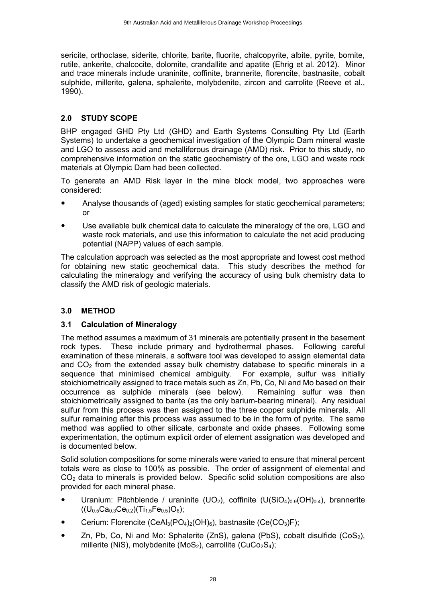sericite, orthoclase, siderite, chlorite, barite, fluorite, chalcopyrite, albite, pyrite, bornite, rutile, ankerite, chalcocite, dolomite, crandallite and apatite (Ehrig et al. 2012). Minor and trace minerals include uraninite, coffinite, brannerite, florencite, bastnasite, cobalt sulphide, millerite, galena, sphalerite, molybdenite, zircon and carrolite (Reeve et al., 1990).

### **2.0 STUDY SCOPE**

BHP engaged GHD Pty Ltd (GHD) and Earth Systems Consulting Pty Ltd (Earth Systems) to undertake a geochemical investigation of the Olympic Dam mineral waste and LGO to assess acid and metalliferous drainage (AMD) risk. Prior to this study, no comprehensive information on the static geochemistry of the ore, LGO and waste rock materials at Olympic Dam had been collected.

To generate an AMD Risk layer in the mine block model, two approaches were considered:

- Analyse thousands of (aged) existing samples for static geochemical parameters; or
- Use available bulk chemical data to calculate the mineralogy of the ore, LGO and waste rock materials, and use this information to calculate the net acid producing potential (NAPP) values of each sample.

The calculation approach was selected as the most appropriate and lowest cost method for obtaining new static geochemical data. This study describes the method for calculating the mineralogy and verifying the accuracy of using bulk chemistry data to classify the AMD risk of geologic materials.

## **3.0 METHOD**

### **3.1 Calculation of Mineralogy**

The method assumes a maximum of 31 minerals are potentially present in the basement rock types. These include primary and hydrothermal phases. Following careful examination of these minerals, a software tool was developed to assign elemental data and  $CO<sub>2</sub>$  from the extended assay bulk chemistry database to specific minerals in a sequence that minimised chemical ambiguity. For example, sulfur was initially stoichiometrically assigned to trace metals such as Zn, Pb, Co, Ni and Mo based on their occurrence as sulphide minerals (see below). Remaining sulfur was then stoichiometrically assigned to barite (as the only barium-bearing mineral). Any residual sulfur from this process was then assigned to the three copper sulphide minerals. All sulfur remaining after this process was assumed to be in the form of pyrite. The same method was applied to other silicate, carbonate and oxide phases. Following some experimentation, the optimum explicit order of element assignation was developed and is documented below.

Solid solution compositions for some minerals were varied to ensure that mineral percent totals were as close to 100% as possible. The order of assignment of elemental and  $CO<sub>2</sub>$  data to minerals is provided below. Specific solid solution compositions are also provided for each mineral phase.

- Uranium: Pitchblende / uraninite (UO<sub>2</sub>), coffinite (U(SiO<sub>4</sub>)<sub>0.9</sub>(OH)<sub>0.4</sub>), brannerite  $((U<sub>0.5</sub>Ca<sub>0.3</sub>Ce<sub>0.2</sub>)(Ti<sub>1.5</sub>Fe<sub>0.5</sub>)O<sub>6</sub>);$
- Cerium: Florencite (CeAl<sub>3</sub>(PO<sub>4</sub>)<sub>2</sub>(OH)<sub>6</sub>), bastnasite (Ce(CO<sub>3</sub>)F);
- Zn, Pb, Co, Ni and Mo: Sphalerite (ZnS), galena (PbS), cobalt disulfide (CoS<sub>2</sub>), millerite (NiS), molybdenite (MoS<sub>2</sub>), carrollite (CuCo<sub>2</sub>S<sub>4</sub>);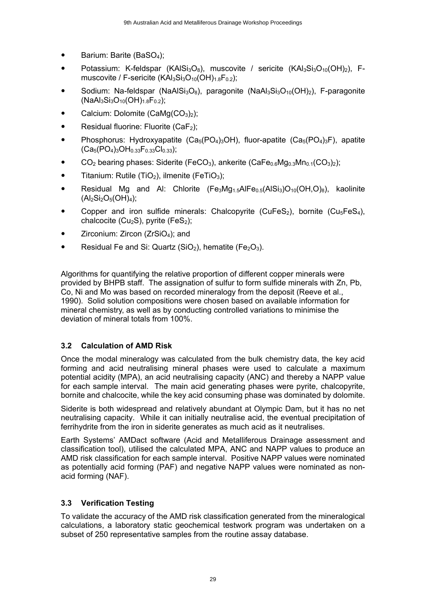- $\bullet$  Barium: Barite (BaSO<sub>4</sub>);
- Potassium: K-feldspar (KAlSi<sub>3</sub>O<sub>8</sub>), muscovite / sericite (KAl<sub>3</sub>Si<sub>3</sub>O<sub>10</sub>(OH)<sub>2</sub>), Fmuscovite / F-sericite (KAI $_3$ Si $_3$ O<sub>10</sub>(OH)<sub>1.8</sub>F<sub>0.2</sub>);
- Sodium: Na-feldspar (NaAlSi<sub>3</sub>O<sub>8</sub>), paragonite (NaAl<sub>3</sub>Si<sub>3</sub>O<sub>10</sub>(OH)<sub>2</sub>), F-paragonite  $(NaAl<sub>3</sub>Si<sub>3</sub>O<sub>10</sub>(OH)<sub>1.8</sub>F<sub>0.2</sub>)$ ;
- Calcium: Dolomite  $(CaMg(CO<sub>3</sub>)<sub>2</sub>)$ ;
- Residual fluorine: Fluorite  $(CaF<sub>2</sub>)$ :
- Phosphorus: Hydroxyapatite  $(Ca_5(PO_4)_3OH)$ , fluor-apatite  $(Ca_5(PO_4)_3F)$ , apatite  $(Ca_5(PO_4)_3OH_{0.33}F_{0.33}Cl_{0.33});$
- $\bullet$  CO<sub>2</sub> bearing phases: Siderite (FeCO<sub>3</sub>), ankerite (CaFe<sub>0.6</sub>Mg<sub>0.3</sub>Mn<sub>0.1</sub>(CO<sub>3</sub>)<sub>2</sub>);
- **•** Titanium: Rutile (TiO<sub>2</sub>), ilmenite (FeTiO<sub>3</sub>);
- Residual Mg and Al: Chlorite  $(Fe<sub>3</sub>Mg<sub>1.5</sub>AlFe<sub>0.5</sub>(AlSi<sub>3</sub>)O<sub>10</sub>(OH, O)<sub>8</sub>)$ , kaolinite  $(Al_2Si_2O_5(OH)_4);$
- Copper and iron sulfide minerals: Chalcopyrite (CuFeS<sub>2</sub>), bornite (Cu<sub>5</sub>FeS<sub>4</sub>), chalcocite ( $Cu<sub>2</sub>S$ ), pyrite (FeS<sub>2</sub>);
- Zirconium: Zircon (ZrSiO<sub>4</sub>); and
- Residual Fe and Si: Quartz  $(SiO<sub>2</sub>)$ , hematite (Fe<sub>2</sub>O<sub>3</sub>).

Algorithms for quantifying the relative proportion of different copper minerals were provided by BHPB staff. The assignation of sulfur to form sulfide minerals with Zn, Pb, Co, Ni and Mo was based on recorded mineralogy from the deposit (Reeve et al., 1990). Solid solution compositions were chosen based on available information for mineral chemistry, as well as by conducting controlled variations to minimise the deviation of mineral totals from 100%.

## **3.2 Calculation of AMD Risk**

Once the modal mineralogy was calculated from the bulk chemistry data, the key acid forming and acid neutralising mineral phases were used to calculate a maximum potential acidity (MPA), an acid neutralising capacity (ANC) and thereby a NAPP value for each sample interval. The main acid generating phases were pyrite, chalcopyrite, bornite and chalcocite, while the key acid consuming phase was dominated by dolomite.

Siderite is both widespread and relatively abundant at Olympic Dam, but it has no net neutralising capacity. While it can initially neutralise acid, the eventual precipitation of ferrihydrite from the iron in siderite generates as much acid as it neutralises.

Earth Systems' AMDact software (Acid and Metalliferous Drainage assessment and classification tool), utilised the calculated MPA, ANC and NAPP values to produce an AMD risk classification for each sample interval. Positive NAPP values were nominated as potentially acid forming (PAF) and negative NAPP values were nominated as nonacid forming (NAF).

### **3.3 Verification Testing**

To validate the accuracy of the AMD risk classification generated from the mineralogical calculations, a laboratory static geochemical testwork program was undertaken on a subset of 250 representative samples from the routine assay database.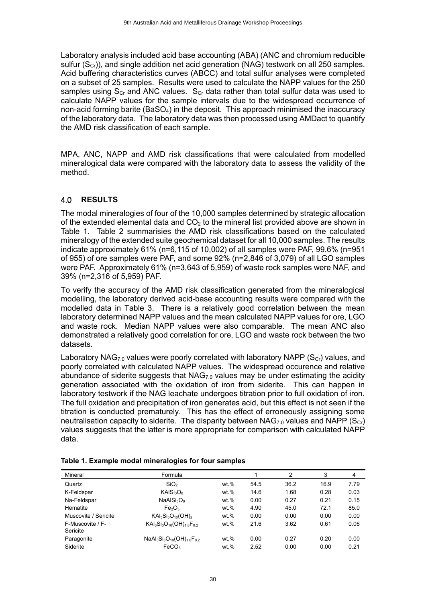Laboratory analysis included acid base accounting (ABA) (ANC and chromium reducible sulfur  $(S<sub>cr</sub>)$ ), and single addition net acid generation (NAG) testwork on all 250 samples. Acid buffering characteristics curves (ABCC) and total sulfur analyses were completed on a subset of 25 samples. Results were used to calculate the NAPP values for the 250 samples using  $S_{Cr}$  and ANC values.  $S_{Cr}$  data rather than total sulfur data was used to calculate NAPP values for the sample intervals due to the widespread occurrence of non-acid forming barite (BaSO<sub>4</sub>) in the deposit. This approach minimised the inaccuracy of the laboratory data. The laboratory data was then processed using AMDact to quantify the AMD risk classification of each sample.

MPA, ANC, NAPP and AMD risk classifications that were calculated from modelled mineralogical data were compared with the laboratory data to assess the validity of the method.

### 4.0 **RESULTS**

The modal mineralogies of four of the 10,000 samples determined by strategic allocation of the extended elemental data and  $CO<sub>2</sub>$  to the mineral list provided above are shown in Table 1. Table 2 summarisies the AMD risk classifications based on the calculated mineralogy of the extended suite geochemical dataset for all 10,000 samples. The results indicate approximately 61% (n=6,115 of 10,002) of all samples were PAF, 99.6% (n=951 of 955) of ore samples were PAF, and some 92% (n=2,846 of 3,079) of all LGO samples were PAF. Approximately 61% (n=3,643 of 5,959) of waste rock samples were NAF, and 39% (n=2,316 of 5,959) PAF.

To verify the accuracy of the AMD risk classification generated from the mineralogical modelling, the laboratory derived acid-base accounting results were compared with the modelled data in Table 3. There is a relatively good correlation between the mean laboratory determined NAPP values and the mean calculated NAPP values for ore, LGO and waste rock. Median NAPP values were also comparable. The mean ANC also demonstrated a relatively good correlation for ore, LGO and waste rock between the two datasets.

Laboratory NAG<sub>7.0</sub> values were poorly correlated with laboratory NAPP (S<sub>Cr</sub>) values, and poorly correlated with calculated NAPP values. The widespread occurence and relative abundance of siderite suggests that  $NAG<sub>7.0</sub>$  values may be under estimating the acidity generation associated with the oxidation of iron from siderite. This can happen in laboratory testwork if the NAG leachate undergoes titration prior to full oxidation of iron. The full oxidation and precipitation of iron generates acid, but this effect is not seen if the titration is conducted prematurely. This has the effect of erroneously assigning some neutralisation capacity to siderite. The disparity between NAG<sub>7.0</sub> values and NAPP (S<sub>Cr</sub>) values suggests that the latter is more appropriate for comparison with calculated NAPP data.

| Mineral                      | Formula                            |         |      | 2    | 3    | 4    |
|------------------------------|------------------------------------|---------|------|------|------|------|
| Quartz                       | SiO <sub>2</sub>                   | wt.%    | 54.5 | 36.2 | 16.9 | 7.79 |
| K-Feldspar                   | KAISi <sub>3</sub> O <sub>8</sub>  | wt.%    | 14.6 | 1.68 | 0.28 | 0.03 |
| Na-Feldspar                  | NaAlSi <sub>3</sub> O <sub>8</sub> | wt.%    | 0.00 | 0.27 | 0.21 | 0.15 |
| Hematite                     | Fe <sub>2</sub> O <sub>3</sub>     | wt.%    | 4.90 | 45.0 | 72.1 | 85.0 |
| Muscovite / Sericite         | $KAl3Si3O10(OH)2$                  | wt.%    | 0.00 | 0.00 | 0.00 | 0.00 |
| F-Muscovite / F-<br>Sericite | $KAl_3Si_3O_{10}(OH)_{1.8}F_{0.2}$ | wt.%    | 21.6 | 3.62 | 0.61 | 0.06 |
| Paragonite                   | $NaAl3Si3O10(OH)1.8F0.2$           | wt.%    | 0.00 | 0.27 | 0.20 | 0.00 |
| Siderite                     | FeCO <sub>3</sub>                  | $wt.$ % | 2.52 | 0.00 | 0.00 | 0.21 |

|  |  |  | Table 1. Example modal mineralogies for four samples |  |  |
|--|--|--|------------------------------------------------------|--|--|
|--|--|--|------------------------------------------------------|--|--|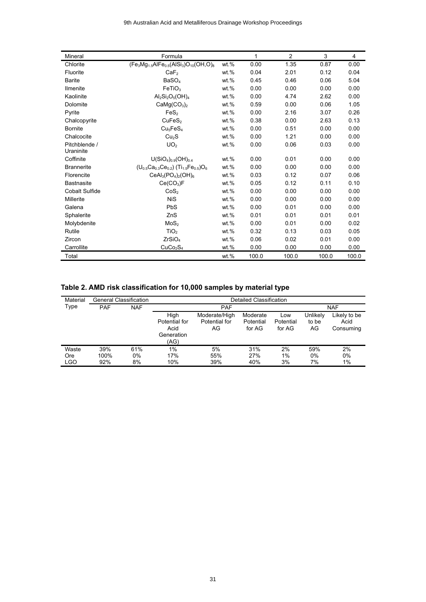| Mineral               | Formula                                                                          |         | 1     | $\overline{2}$ | 3     | 4     |
|-----------------------|----------------------------------------------------------------------------------|---------|-------|----------------|-------|-------|
| Chlorite              | $\sqrt{(Fe_3Mg_{1.5}AlFe_{0.5}(AlSi_3)O_{10}(OH, O)_8)}$                         | wt.%    | 0.00  | 1.35           | 0.87  | 0.00  |
| Fluorite              | CaF <sub>2</sub>                                                                 | $wt.$ % | 0.04  | 2.01           | 0.12  | 0.04  |
| <b>Barite</b>         | BaSO <sub>4</sub>                                                                | $wt.$ % | 0.45  | 0.46           | 0.06  | 5.04  |
| <b>Ilmenite</b>       | FeTiO <sub>3</sub>                                                               | $wt.$ % | 0.00  | 0.00           | 0.00  | 0.00  |
| Kaolinite             | $Al_2Si_2O_5(OH)_4$                                                              | $wt.$ % | 0.00  | 4.74           | 2.62  | 0.00  |
| Dolomite              | CaMg(CO <sub>3</sub> ) <sub>2</sub>                                              | $wt.$ % | 0.59  | 0.00           | 0.06  | 1.05  |
| Pyrite                | FeS <sub>2</sub>                                                                 | $wt.$ % | 0.00  | 2.16           | 3.07  | 0.26  |
| Chalcopyrite          | CuFeS <sub>2</sub>                                                               | $wt.$ % | 0.38  | 0.00           | 2.63  | 0.13  |
| <b>Bornite</b>        | Cu <sub>5</sub> FeS <sub>4</sub>                                                 | wt.%    | 0.00  | 0.51           | 0.00  | 0.00  |
| Chalcocite            | Cu <sub>2</sub> S                                                                | $wt.$ % | 0.00  | 1.21           | 0.00  | 0.00  |
| Pitchblende /         | UO <sub>2</sub>                                                                  | wt.%    | 0.00  | 0.06           | 0.03  | 0.00  |
| Uraninite             |                                                                                  |         |       |                |       |       |
| Coffinite             | $U(SiO4)0.9(OH)0.4$                                                              | wt.%    | 0.00  | 0.01           | 0.00  | 0.00  |
| <b>Brannerite</b>     | $(U_{0.5}Ca_{0.3}Ce_{0.2})$ (Ti <sub>1.5</sub> Fe <sub>0.5</sub> )O <sub>6</sub> | $wt.$ % | 0.00  | 0.00           | 0.00  | 0.00  |
| Florencite            | $CeAl3(PO4)2(OH)6$                                                               | wt.%    | 0.03  | 0.12           | 0.07  | 0.06  |
| <b>Bastnasite</b>     | $Ce(CO_3)F$                                                                      | $wt.$ % | 0.05  | 0.12           | 0.11  | 0.10  |
| <b>Cobalt Sulfide</b> | CoS <sub>2</sub>                                                                 | $wt.$ % | 0.00  | 0.00           | 0.00  | 0.00  |
| <b>Millerite</b>      | <b>NiS</b>                                                                       | $wt.$ % | 0.00  | 0.00           | 0.00  | 0.00  |
| Galena                | PbS                                                                              | $wt.$ % | 0.00  | 0.01           | 0.00  | 0.00  |
| Sphalerite            | ZnS                                                                              | $wt.$ % | 0.01  | 0.01           | 0.01  | 0.01  |
| Molybdenite           | MoS <sub>2</sub>                                                                 | $wt.$ % | 0.00  | 0.01           | 0.00  | 0.02  |
| Rutile                | TiO <sub>2</sub>                                                                 | $wt.$ % | 0.32  | 0.13           | 0.03  | 0.05  |
| Zircon                | ZrSiO <sub>4</sub>                                                               | wt.%    | 0.06  | 0.02           | 0.01  | 0.00  |
| Carrollite            | CuCo <sub>2</sub> S <sub>4</sub>                                                 | wt.%    | 0.00  | 0.00           | 0.00  | 0.00  |
| Total                 |                                                                                  | wt.%    | 100.0 | 100.0          | 100.0 | 100.0 |

# **Table 2. AMD risk classification for 10,000 samples by material type**

| Material | <b>General Classification</b> |            |                                                     |                                      | Detailed Classification         |                            |                         |                                   |
|----------|-------------------------------|------------|-----------------------------------------------------|--------------------------------------|---------------------------------|----------------------------|-------------------------|-----------------------------------|
| Type     | <b>PAF</b>                    | <b>NAF</b> |                                                     | <b>PAF</b>                           |                                 |                            |                         | <b>NAF</b>                        |
|          |                               |            | High<br>Potential for<br>Acid<br>Generation<br>(AG) | Moderate/High<br>Potential for<br>AG | Moderate<br>Potential<br>for AG | Low<br>Potential<br>for AG | Unlikely<br>to be<br>AG | Likely to be<br>Acid<br>Consuming |
| Waste    | 39%                           | 61%        | 1%                                                  | 5%                                   | 31%                             | 2%                         | 59%                     | 2%                                |
| Ore      | 100%                          | $0\%$      | 17%                                                 | 55%                                  | 27%                             | 1%                         | 0%                      | 0%                                |
| LGO      | 92%                           | 8%         | 10%                                                 | 39%                                  | 40%                             | 3%                         | 7%                      | 1%                                |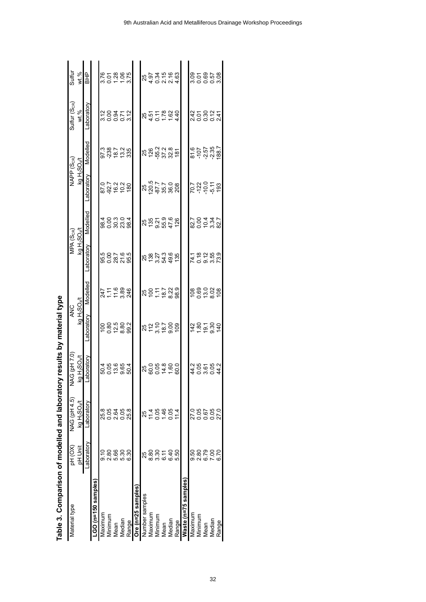| Table 3. Comparison of modelled and laboratory |               |                                                |                       | results by material type             |                            |                                           |                                |                                      |                             |                       |                                          |
|------------------------------------------------|---------------|------------------------------------------------|-----------------------|--------------------------------------|----------------------------|-------------------------------------------|--------------------------------|--------------------------------------|-----------------------------|-----------------------|------------------------------------------|
| Material type                                  | PH (OX)       | NAG (pH 4.5)                                   | <b>NAG</b> (pH 7.0)   | <b>ANC</b>                           |                            | MPA (S <sub>CR</sub> )                    |                                | NAPP (S <sub>CR</sub> )              |                             | $S$ ulfur $(S_{CR})$  | <b>Sulfur</b>                            |
|                                                | pH Unit       | kg H <sub>2</sub> SO <sub>4</sub> /t           | $H_2$ SO $4$<br>Σā    | kg H <sub>2</sub> SO <sub>4</sub> /t |                            | kg H <sub>2</sub> SO <sub>4</sub> /t      |                                | kg H <sub>2</sub> SO <sub>4</sub> /t |                             | wt.%                  | wt%                                      |
|                                                | Laboratory    | Laboratory                                     | boratory<br>ᅙ         | Laboratory                           | Modelled                   | Laboratory                                | Modelled                       | Laboratory                           | Modelled                    | Laboratory            | 오HB                                      |
| LGO (n=150 samples                             |               |                                                |                       |                                      |                            |                                           |                                |                                      |                             |                       |                                          |
| Maximum                                        | <u>၁</u><br>၁ |                                                |                       |                                      |                            |                                           |                                |                                      |                             |                       |                                          |
| Minimum                                        | 2.80          | 8<br>8<br>8<br>8<br>9<br>8<br>9<br>8<br>9<br>8 |                       |                                      | 247<br>77.98<br>246<br>246 | 500765<br>50875                           | 808288<br>80828                | 877238<br>87828                      | 973872.935<br>97292.935     | sooow<br>Sooow        | 870885<br>8708875                        |
| Mean                                           | 5.50<br>5.30  |                                                |                       |                                      |                            |                                           |                                |                                      |                             |                       |                                          |
| Median                                         |               |                                                |                       |                                      |                            |                                           |                                |                                      |                             |                       |                                          |
| Range                                          | 6.30          | 25.8                                           |                       |                                      |                            |                                           |                                |                                      |                             |                       |                                          |
| Ore (n=25 samples)                             |               |                                                |                       |                                      |                            |                                           |                                |                                      |                             |                       |                                          |
| Number samples                                 | 25            | 25                                             |                       |                                      |                            |                                           |                                |                                      |                             |                       |                                          |
| Maximum                                        | 8.80          |                                                | 80054600<br>800440    | 822588<br>82588                      |                            | ង តួ ដូ ង ង ត<br>ដូ ដូ ង ង ត់             | 852196<br>852196               | 25<br>2017 - 20<br>2027 - 203        | 85 28 38 4<br>85 38 38 4    | 25<br>257824<br>25782 | 25 34 56 56<br>25 35 56 56<br>25 4 56 57 |
| Minimum                                        | 3.30          | $\frac{14}{4}$                                 |                       |                                      |                            |                                           |                                |                                      |                             |                       |                                          |
| Mean                                           | 6.11          | $1.46$<br>0.05                                 |                       |                                      |                            |                                           |                                |                                      |                             |                       |                                          |
| Median                                         | 6.40          |                                                |                       |                                      |                            |                                           |                                |                                      |                             |                       |                                          |
| Range                                          | 5.50          |                                                |                       |                                      |                            |                                           |                                |                                      |                             |                       |                                          |
| Waste (n=75 samples                            |               |                                                |                       |                                      |                            |                                           |                                |                                      |                             |                       |                                          |
| Maximum                                        | 9.50          |                                                |                       |                                      |                            |                                           |                                |                                      |                             |                       |                                          |
| Minimum                                        | 2.80<br>6.79  | 0.85<br>2000<br>2000                           | $400004$<br>$4000004$ | $780.780$<br>$780.780$               | 88928<br>Posta             | 1 1 8 2 5 9<br>1 0 9 1 5 9<br>1 0 9 1 9 1 | 2.00432.7<br>2.00432.7<br>2.00 | 230558                               | 8107<br>2070827<br>20709827 | s<br>32854<br>32854   |                                          |
| Mean                                           |               |                                                |                       |                                      |                            |                                           |                                |                                      |                             |                       |                                          |
| Median                                         | 7.00          |                                                |                       |                                      |                            |                                           |                                |                                      |                             |                       |                                          |
| Range                                          | 6.70          | 27.0                                           |                       |                                      |                            |                                           |                                |                                      |                             |                       |                                          |

| $\frac{1}{2}$                                                           |
|-------------------------------------------------------------------------|
|                                                                         |
|                                                                         |
|                                                                         |
|                                                                         |
|                                                                         |
| <b>Mundan</b>                                                           |
|                                                                         |
| Table 3. Comparison of modelled and laboratory results by material type |
|                                                                         |
|                                                                         |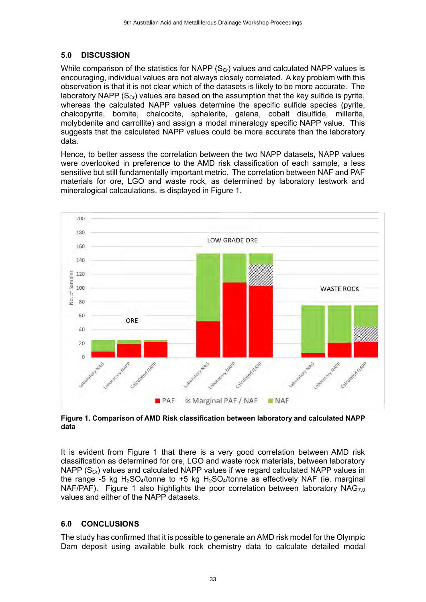### **5.0 DISCUSSION**

While comparison of the statistics for NAPP  $(S_{Cr})$  values and calculated NAPP values is encouraging, individual values are not always closely correlated. A key problem with this observation is that it is not clear which of the datasets is likely to be more accurate. The laboratory NAPP ( $S_{cr}$ ) values are based on the assumption that the key sulfide is pyrite, whereas the calculated NAPP values determine the specific sulfide species (pyrite, chalcopyrite, bornite, chalcocite, sphalerite, galena, cobalt disulfide, millerite, molybdenite and carrollite) and assign a modal mineralogy specific NAPP value. This suggests that the calculated NAPP values could be more accurate than the laboratory data.

Hence, to better assess the correlation between the two NAPP datasets, NAPP values were overlooked in preference to the AMD risk classification of each sample, a less sensitive but still fundamentally important metric. The correlation between NAF and PAF materials for ore, LGO and waste rock, as determined by laboratory testwork and mineralogical calcaulations, is displayed in Figure 1.



**Figure 1. Comparison of AMD Risk classification between laboratory and calculated NAPP data**

It is evident from Figure 1 that there is a very good correlation between AMD risk classification as determined for ore, LGO and waste rock materials, between laboratory NAPP  $(S_{Cr})$  values and calculated NAPP values if we regard calculated NAPP values in the range -5 kg H<sub>2</sub>SO<sub>4</sub>/tonne to +5 kg H<sub>2</sub>SO<sub>4</sub>/tonne as effectively NAF (ie. marginal NAF/PAF). Figure 1 also highlights the poor correlation between laboratory  $NAG_{7.0}$ values and either of the NAPP datasets.

#### **6.0 CONCLUSIONS**

The study has confirmed that it is possible to generate an AMD risk model for the Olympic Dam deposit using available bulk rock chemistry data to calculate detailed modal